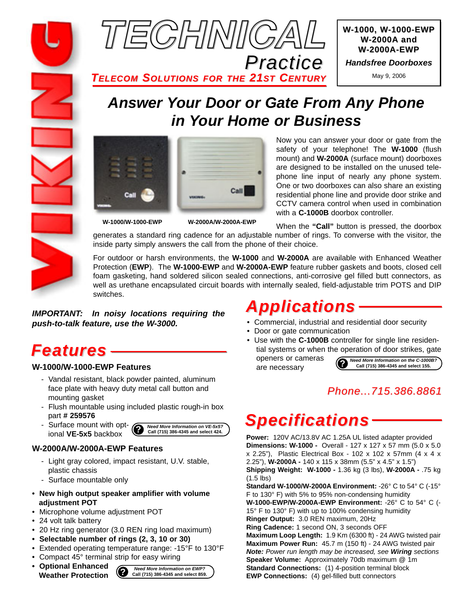

*TELECOM SOLUTIONS FOR THE 21ST CENTURY*



*Handsfree Doorboxes*

May 9, 2006

## *Answer Your Door or Gate From Any Phone in Your Home or Business*





**W-1000/W-1000-EWP W-2000A/W-2000A-EWP**

Now you can answer your door or gate from the safety of your telephone! The **W-1000** (flush mount) and **W-2000A** (surface mount) doorboxes are designed to be installed on the unused telephone line input of nearly any phone system. One or two doorboxes can also share an existing residential phone line and provide door strike and CCTV camera control when used in combination with a **C-1000B** doorbox controller.

When the **"Call"** button is pressed, the doorbox generates a standard ring cadence for an adjustable number of rings. To converse with the visitor, the inside party simply answers the call from the phone of their choice.

For outdoor or harsh environments, the **W-1000** and **W-2000A** are available with Enhanced Weather Protection (**EWP**). The **W-1000-EWP** and **W-2000A-EWP** feature rubber gaskets and boots, closed cell foam gasketing, hand soldered silicon sealed connections, anti-corrosive gel filled butt connectors, as well as urethane encapsulated circuit boards with internally sealed, field-adjustable trim POTS and DIP switches.

*IMPORTANT: In noisy locations requiring the push-to-talk feature, use the W-3000.*

## *Features*

### **W-1000/W-1000-EWP Features**

- Vandal resistant, black powder painted, aluminum face plate with heavy duty metal call button and mounting gasket
- Flush mountable using included plastic rough-in box part **# 259576**
- Surface mount with optional **VE-5x5** backbox



#### **W-2000A/W-2000A-EWP Features**

- Light gray colored, impact resistant, U.V. stable, plastic chassis
- Surface mountable only
- **New high output speaker amplifier with volume adjustment POT**
- Microphone volume adjustment POT
- 24 volt talk battery
- 20 Hz ring generator (3.0 REN ring load maximum)
- **Selectable number of rings (2, 3, 10 or 30)**
- Extended operating temperature range: -15°F to 130°F
- Compact 45° terminal strip for easy wiring
- **Optional Enhanced Weather Protection**



# *Applications*

- Commercial, industrial and residential door security
- Door or gate communication

are necessary

• Use with the **C-1000B** controller for single line residential systems or when the operation of door strikes, gate openers or cameras

**?** *Need More Information on the C-1000B?* **Call (715) 386-4345 and select 155.**

### *Phone...715.386.8861*

# *Specifications*

**Power:** 120V AC/13.8V AC 1.25A UL listed adapter provided **Dimensions: W-1000 -** Overall - 127 x 127 x 57 mm (5.0 x 5.0 x 2.25"), Plastic Electrical Box - 102 x 102 x 57mm (4 x 4 x 2.25"), **W-2000A -** 140 x 115 x 38mm (5.5" x 4.5" x 1.5") **Shipping Weight: W-1000 -** 1.36 kg (3 lbs), **W-2000A -** .75 kg (1.5 lbs)

**Standard W-1000/W-2000A Environment:** -26° C to 54° C (-15° F to 130° F) with 5% to 95% non-condensing humidity **W-1000-EWP/W-2000A-EWP Environment:** -26° C to 54° C (- 15° F to 130° F) with up to 100% condensing humidity

**Ringer Output:** 3.0 REN maximum, 20Hz

**Ring Cadence:** 1 second ON, 3 seconds OFF

**Maximum Loop Length:** 1.9 Km (6300 ft) - 24 AWG twisted pair **Maximum Power Run:** 45.7 m (150 ft) - 24 AWG twisted pair *Note: Power run length may be increased, see Wiring sections* **Speaker Volume:** Approximately 70db maximum @ 1m **Standard Connections:** (1) 4-position terminal block **EWP Connections:** (4) gel-filled butt connectors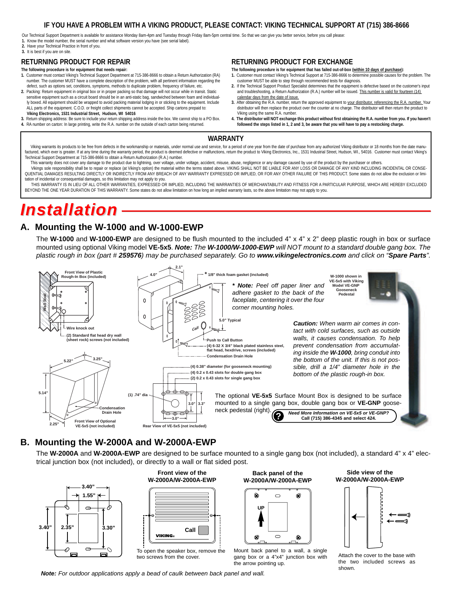#### **IF YOU HAVE A PROBLEM WITH A VIKING PRODUCT, PLEASE CONTACT: VIKING TECHNICAL SUPPORT AT (715) 386-8666**

Our Technical Support Department is available for assistance Monday 8am-4pm and Tuesday through Friday 8am-5pm central time. So that we can give you better service, before you call please: **1.** Know the model number, the serial number and what software version you have (see serial label).

**2.** Have your Technical Practice in front of you.

#### **3.** It is best if you are on site.

#### **RETURNING PRODUCT FOR REPAIR**

- **The following procedure is for equipment that needs repair: 1.** Customer must contact Viking's Technical Support Department at 715-386-8666 to obtain a Return Authorization (RA) number. The customer MUST have a complete description of the problem, with all pertinent information regarding the defect, such as options set, conditions, symptoms, methods to duplicate problem, frequency of failure, etc.
- **2.** Packing: Return equipment in original box or in proper packing so that damage will not occur while in transit. Static sensitive equipment such as a circuit board should be in an anti-static bag, sandwiched between foam and individually boxed. All equipment should be wrapped to avoid packing material lodging in or sticking to the equipment. Include ALL parts of the equipment. C.O.D. or freight collect shipments cannot be accepted. Ship cartons prepaid to:
- **Viking Electronics, 1531 Industrial Street, Hudson, WI 54016 3.** Return shipping address: Be sure to include your return shipping address inside the box. We cannot ship to a PO Box.
- **4.** RA number on carton: In large printing, write the R.A. number on the outside of each carton being returned.

#### **RETURNING PRODUCT FOR EXCHANGE**

**The following procedure is for equipment that has failed out-of-box (within 10 days of purchase):**

- **1.** Customer must contact Viking's Technical Support at 715-386-8666 to determine possible causes for the problem. The customer MUST be able to step through recommended tests for diagnosis.
- **2.** If the Technical Support Product Specialist determines that the equipment is defective based on the customer's input and troubleshooting, a Return Authorization (R.A.) number will be issued. This number is valid for fourteen (14) calendar days from the date of issue.
- **3.** After obtaining the R.A. number, return the approved equipment to your distributor, referencing the R.A. number. Your distributor will then replace the product over the counter at no charge. The distributor will then return the product to Viking using the same R.A. number.
- **4. The distributor will NOT exchange this product without first obtaining the R.A. number from you. If you haven't followed the steps listed in 1, 2 and 3, be aware that you will have to pay a restocking charge.**

#### **WARRANTY**

Viking warrants its products to be free from defects in the workmanship or materials, under normal use and service, for a period of one year from the date of purchase from any authorized Viking distributor or 18 months fro factured, which ever is greater. If at any time during the warranty period, the product is deemed defective or malfunctions, return the product to Viking Electronics, Inc., 1531 Industrial Street, Hudson, WI., 54016. Custo Technical Support Department at 715-386-8666 to obtain a Return Authorization (R.A.) number.

- This warranty does not cover any damage to the product due to lightning, over voltage, under voltage, accident, misuse, abuse, negligence or any damage caused by use of the product by the purchaser or others.
- Vikings sole responsibility shall be to repair or replace (at Viking's option) the material within the terms stated above. VIKING SHALL NOT BE LIABLE FOR ANY LOSS OR DAMAGE OF ANY KIND INCLUDING INCIDENTAL OR CONSE-QUENTIAL DAMAGES RESULTING DIRECTLY OR INDIRECTLY FROM ANY BREACH OF ANY WARRANTY EXPRESSED OR IMPLIED, OR FOR ANY OTHER FAILURE OF THIS PRODUCT. Some states do not allow the exclusion or limitation of incidental or consequential damages, so this limitation may not apply to yo

THIS WARRANTY IS IN LIEU OF ALL OTHER WARRANTIES, EXPRESSED OR IMPLIED, INCLUDING THE WARRANTIES OF MERCHANTABILITY AND FITNESS FOR A PARTICULAR PURPOSE, WHICH ARE HEREBY EXCLUDED BEYOND THE ONE YEAR DURATION OF THIS WARRANTY. Some states do not allow limitation on how long an implied warranty lasts, so the above limitation may not apply to you.

## *Installation*

#### **A. Mounting the W-1000 and W-1000-EWP**

The **W-1000** and **W-1000-EWP** are designed to be flush mounted to the included 4" x 4" x 2" deep plastic rough in box or surface mounted using optional Viking model **VE-5x5**. *Note: The W-1000/W-1000-EWP will NOT mount to a standard double gang box. The plastic rough in box (part # 259576) may be purchased separately. Go to www.vikingelectronics.com and click on "Spare Parts".*



### **B. Mounting the W-2000A and W-2000A-EWP**

The **W-2000A** and **W-2000A-EWP** are designed to be surface mounted to a single gang box (not included), a standard 4" x 4" electrical junction box (not included), or directly to a wall or flat sided post.



Q. **UP**

**Back panel of the W-2000A/W-2000A-EWP**



Mount back panel to a wall, a single gang box or a 4"x4" junction box with the arrow pointing up.

**Side view of the W-2000A/W-2000A-EWP**



Attach the cover to the base with the two included screws as shown.

*Note: For outdoor applications apply a bead of caulk between back panel and wall.*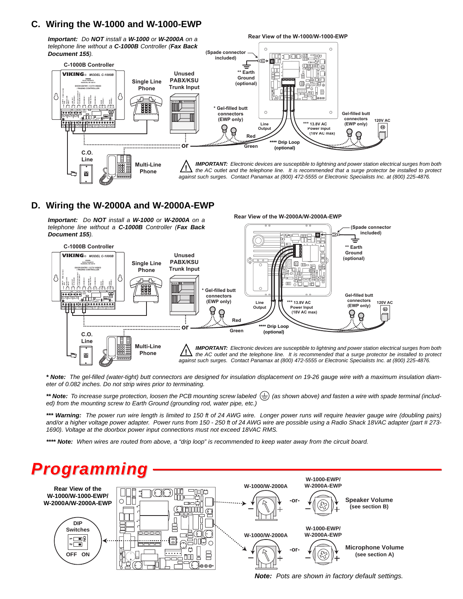#### **C. Wiring the W-1000 and W-1000-EWP**

*Important: Do NOT install a W-1000 or W-2000A on a telephone line without a C-1000B Controller (Fax Back Document 155).*



**Rear View of the W-1000/W-1000-EWP**

**Rear View of the W-2000A/W-2000A-EWP**

### **D. Wiring the W-2000A and W-2000A-EWP**

*Important: Do NOT install a W-1000 or W-2000A on a telephone line without a C-1000B Controller (Fax Back Document 155).*



*\* Note: The gel-filled (water-tight) butt connectors are designed for insulation displacement on 19-26 gauge wire with a maximum insulation diameter of 0.082 inches. Do not strip wires prior to terminating.*

\*\* Note: To increase surge protection, loosen the PCB mounting screw labeled  $(\frac{1}{n})$  (as shown above) and fasten a wire with spade terminal (includ*ed) from the mounting screw to Earth Ground (grounding rod, water pipe, etc.)*

*\*\*\* Warning: The power run wire length is limited to 150 ft of 24 AWG wire. Longer power runs will require heavier gauge wire (doubling pairs) and/or a higher voltage power adapter. Power runs from 150 - 250 ft of 24 AWG wire are possible using a Radio Shack 18VAC adapter (part # 273- 1690). Voltage at the doorbox power input connections must not exceed 18VAC RMS.*

*\*\*\*\* Note: When wires are routed from above, a "drip loop" is recommended to keep water away from the circuit board.*



*Note: Pots are shown in factory default settings.*

**(Spade connector included)**